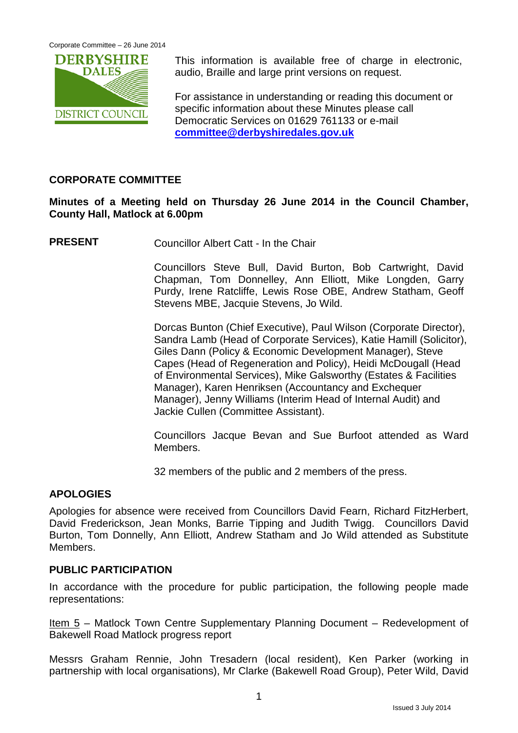

This information is available free of charge in electronic, audio, Braille and large print versions on request.

For assistance in understanding or reading this document or specific information about these Minutes please call Democratic Services on 01629 761133 or e-mail **[committee@derbyshiredales.gov.uk](mailto:committee@derbyshiredales.gov.uk)**

#### **CORPORATE COMMITTEE**

### **Minutes of a Meeting held on Thursday 26 June 2014 in the Council Chamber, County Hall, Matlock at 6.00pm**

**PRESENT** Councillor Albert Catt - In the Chair

Councillors Steve Bull, David Burton, Bob Cartwright, David Chapman, Tom Donnelley, Ann Elliott, Mike Longden, Garry Purdy, Irene Ratcliffe, Lewis Rose OBE, Andrew Statham, Geoff Stevens MBE, Jacquie Stevens, Jo Wild.

Dorcas Bunton (Chief Executive), Paul Wilson (Corporate Director), Sandra Lamb (Head of Corporate Services), Katie Hamill (Solicitor), Giles Dann (Policy & Economic Development Manager), Steve Capes (Head of Regeneration and Policy), Heidi McDougall (Head of Environmental Services), Mike Galsworthy (Estates & Facilities Manager), Karen Henriksen (Accountancy and Exchequer Manager), Jenny Williams (Interim Head of Internal Audit) and Jackie Cullen (Committee Assistant).

Councillors Jacque Bevan and Sue Burfoot attended as Ward Members.

32 members of the public and 2 members of the press.

### **APOLOGIES**

Apologies for absence were received from Councillors David Fearn, Richard FitzHerbert, David Frederickson, Jean Monks, Barrie Tipping and Judith Twigg. Councillors David Burton, Tom Donnelly, Ann Elliott, Andrew Statham and Jo Wild attended as Substitute Members.

#### **PUBLIC PARTICIPATION**

In accordance with the procedure for public participation, the following people made representations:

Item 5 – Matlock Town Centre Supplementary Planning Document – Redevelopment of Bakewell Road Matlock progress report

Messrs Graham Rennie, John Tresadern (local resident), Ken Parker (working in partnership with local organisations), Mr Clarke (Bakewell Road Group), Peter Wild, David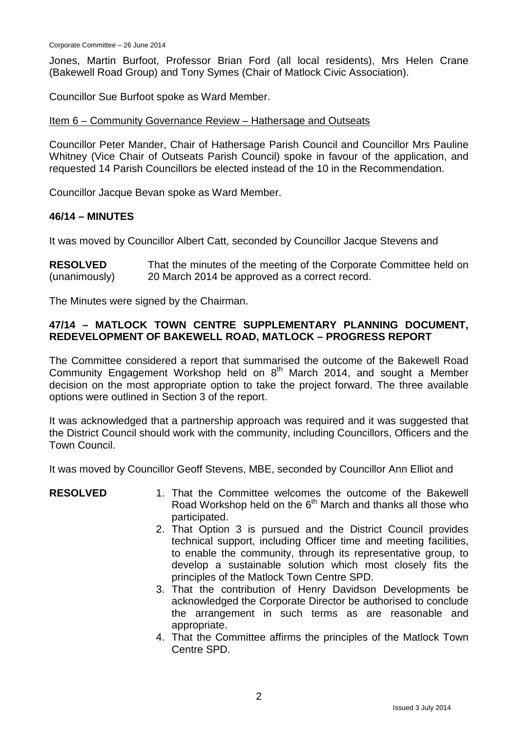Jones, Martin Burfoot, Professor Brian Ford (all local residents), Mrs Helen Crane (Bakewell Road Group) and Tony Symes (Chair of Matlock Civic Association).

Councillor Sue Burfoot spoke as Ward Member.

#### Item 6 – Community Governance Review – Hathersage and Outseats

Councillor Peter Mander, Chair of Hathersage Parish Council and Councillor Mrs Pauline Whitney (Vice Chair of Outseats Parish Council) spoke in favour of the application, and requested 14 Parish Councillors be elected instead of the 10 in the Recommendation.

Councillor Jacque Bevan spoke as Ward Member.

#### **46/14 – MINUTES**

It was moved by Councillor Albert Catt, seconded by Councillor Jacque Stevens and

**RESOLVED** (unanimously) That the minutes of the meeting of the Corporate Committee held on 20 March 2014 be approved as a correct record.

The Minutes were signed by the Chairman.

# **47/14 – MATLOCK TOWN CENTRE SUPPLEMENTARY PLANNING DOCUMENT, REDEVELOPMENT OF BAKEWELL ROAD, MATLOCK – PROGRESS REPORT**

The Committee considered a report that summarised the outcome of the Bakewell Road Community Engagement Workshop held on  $8<sup>th</sup>$  March 2014, and sought a Member decision on the most appropriate option to take the project forward. The three available options were outlined in Section 3 of the report.

It was acknowledged that a partnership approach was required and it was suggested that the District Council should work with the community, including Councillors, Officers and the Town Council.

It was moved by Councillor Geoff Stevens, MBE, seconded by Councillor Ann Elliot and

| <b>RESOLVED</b> | 1. That the Committee welcomes the outcome of the Bakewell<br>Road Workshop held on the 6 <sup>th</sup> March and thanks all those who<br>participated.                                                                                                                                                         |
|-----------------|-----------------------------------------------------------------------------------------------------------------------------------------------------------------------------------------------------------------------------------------------------------------------------------------------------------------|
|                 | 2. That Option 3 is pursued and the District Council provides<br>technical support, including Officer time and meeting facilities,<br>to enable the community, through its representative group, to<br>develop a sustainable solution which most closely fits the<br>principles of the Matlock Town Centre SPD. |
|                 | 3. That the contribution of Henry Davidson Developments be<br>acknowledged the Corporate Director be authorised to conclude<br>the arrangement in such terms as are reasonable and<br>appropriate.                                                                                                              |
|                 | 4. That the Committee affirms the principles of the Matlock Town<br>Centre SPD.                                                                                                                                                                                                                                 |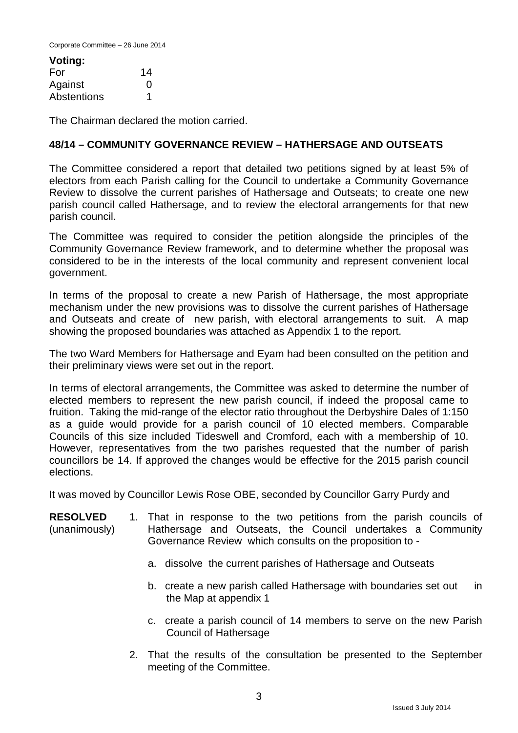Corporate Committee – 26 June 2014

| Voting:     |    |
|-------------|----|
| For         | 14 |
| Against     | O  |
| Abstentions | 1  |

The Chairman declared the motion carried.

### **48/14 – COMMUNITY GOVERNANCE REVIEW – HATHERSAGE AND OUTSEATS**

The Committee considered a report that detailed two petitions signed by at least 5% of electors from each Parish calling for the Council to undertake a Community Governance Review to dissolve the current parishes of Hathersage and Outseats; to create one new parish council called Hathersage, and to review the electoral arrangements for that new parish council.

The Committee was required to consider the petition alongside the principles of the Community Governance Review framework, and to determine whether the proposal was considered to be in the interests of the local community and represent convenient local government.

In terms of the proposal to create a new Parish of Hathersage, the most appropriate mechanism under the new provisions was to dissolve the current parishes of Hathersage and Outseats and create of new parish, with electoral arrangements to suit. A map showing the proposed boundaries was attached as Appendix 1 to the report.

The two Ward Members for Hathersage and Eyam had been consulted on the petition and their preliminary views were set out in the report.

In terms of electoral arrangements, the Committee was asked to determine the number of elected members to represent the new parish council, if indeed the proposal came to fruition. Taking the mid-range of the elector ratio throughout the Derbyshire Dales of 1:150 as a guide would provide for a parish council of 10 elected members. Comparable Councils of this size included Tideswell and Cromford, each with a membership of 10. However, representatives from the two parishes requested that the number of parish councillors be 14. If approved the changes would be effective for the 2015 parish council elections.

It was moved by Councillor Lewis Rose OBE, seconded by Councillor Garry Purdy and

- **RESOLVED** (unanimously) 1. That in response to the two petitions from the parish councils of Hathersage and Outseats, the Council undertakes a Community Governance Review which consults on the proposition to
	- a. dissolve the current parishes of Hathersage and Outseats
	- b. create a new parish called Hathersage with boundaries set out in the Map at appendix 1
	- c. create a parish council of 14 members to serve on the new Parish Council of Hathersage
	- 2. That the results of the consultation be presented to the September meeting of the Committee.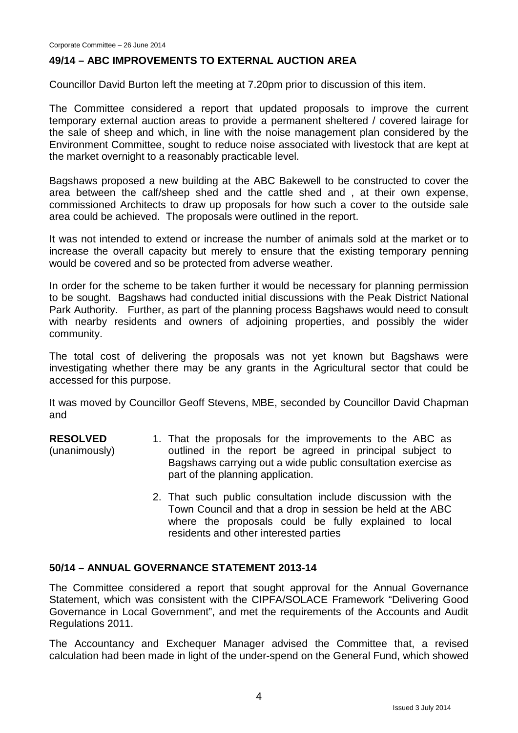#### **49/14 – ABC IMPROVEMENTS TO EXTERNAL AUCTION AREA**

Councillor David Burton left the meeting at 7.20pm prior to discussion of this item.

The Committee considered a report that updated proposals to improve the current temporary external auction areas to provide a permanent sheltered / covered lairage for the sale of sheep and which, in line with the noise management plan considered by the Environment Committee, sought to reduce noise associated with livestock that are kept at the market overnight to a reasonably practicable level.

Bagshaws proposed a new building at the ABC Bakewell to be constructed to cover the area between the calf/sheep shed and the cattle shed and , at their own expense, commissioned Architects to draw up proposals for how such a cover to the outside sale area could be achieved. The proposals were outlined in the report.

It was not intended to extend or increase the number of animals sold at the market or to increase the overall capacity but merely to ensure that the existing temporary penning would be covered and so be protected from adverse weather.

In order for the scheme to be taken further it would be necessary for planning permission to be sought. Bagshaws had conducted initial discussions with the Peak District National Park Authority. Further, as part of the planning process Bagshaws would need to consult with nearby residents and owners of adjoining properties, and possibly the wider community.

The total cost of delivering the proposals was not yet known but Bagshaws were investigating whether there may be any grants in the Agricultural sector that could be accessed for this purpose.

It was moved by Councillor Geoff Stevens, MBE, seconded by Councillor David Chapman and

- **RESOLVED** (unanimously) 1. That the proposals for the improvements to the ABC as outlined in the report be agreed in principal subject to Bagshaws carrying out a wide public consultation exercise as part of the planning application.
	- 2. That such public consultation include discussion with the Town Council and that a drop in session be held at the ABC where the proposals could be fully explained to local residents and other interested parties

#### **50/14 – ANNUAL GOVERNANCE STATEMENT 2013-14**

The Committee considered a report that sought approval for the Annual Governance Statement, which was consistent with the CIPFA/SOLACE Framework "Delivering Good Governance in Local Government", and met the requirements of the Accounts and Audit Regulations 2011.

The Accountancy and Exchequer Manager advised the Committee that, a revised calculation had been made in light of the under-spend on the General Fund, which showed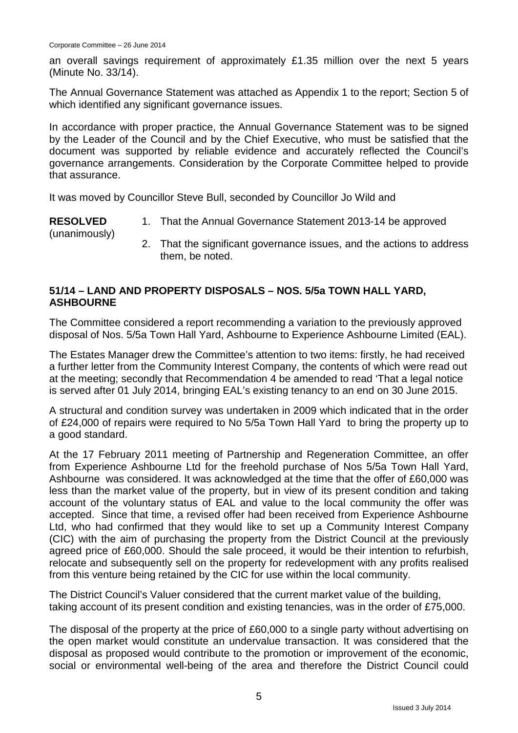an overall savings requirement of approximately £1.35 million over the next 5 years (Minute No. 33/14).

The Annual Governance Statement was attached as Appendix 1 to the report; Section 5 of which identified any significant governance issues.

In accordance with proper practice, the Annual Governance Statement was to be signed by the Leader of the Council and by the Chief Executive, who must be satisfied that the document was supported by reliable evidence and accurately reflected the Council's governance arrangements. Consideration by the Corporate Committee helped to provide that assurance.

It was moved by Councillor Steve Bull, seconded by Councillor Jo Wild and

**RESOLVED** (unanimously) 1. That the Annual Governance Statement 2013-14 be approved 2. That the significant governance issues, and the actions to address them, be noted.

# **51/14 – LAND AND PROPERTY DISPOSALS – NOS. 5/5a TOWN HALL YARD, ASHBOURNE**

The Committee considered a report recommending a variation to the previously approved disposal of Nos. 5/5a Town Hall Yard, Ashbourne to Experience Ashbourne Limited (EAL).

The Estates Manager drew the Committee's attention to two items: firstly, he had received a further letter from the Community Interest Company, the contents of which were read out at the meeting; secondly that Recommendation 4 be amended to read 'That a legal notice is served after 01 July 2014, bringing EAL's existing tenancy to an end on 30 June 2015.

A structural and condition survey was undertaken in 2009 which indicated that in the order of £24,000 of repairs were required to No 5/5a Town Hall Yard to bring the property up to a good standard.

At the 17 February 2011 meeting of Partnership and Regeneration Committee, an offer from Experience Ashbourne Ltd for the freehold purchase of Nos 5/5a Town Hall Yard, Ashbourne was considered. It was acknowledged at the time that the offer of £60,000 was less than the market value of the property, but in view of its present condition and taking account of the voluntary status of EAL and value to the local community the offer was accepted. Since that time, a revised offer had been received from Experience Ashbourne Ltd, who had confirmed that they would like to set up a Community Interest Company (CIC) with the aim of purchasing the property from the District Council at the previously agreed price of £60,000. Should the sale proceed, it would be their intention to refurbish, relocate and subsequently sell on the property for redevelopment with any profits realised from this venture being retained by the CIC for use within the local community.

The District Council's Valuer considered that the current market value of the building, taking account of its present condition and existing tenancies, was in the order of £75,000.

The disposal of the property at the price of £60,000 to a single party without advertising on the open market would constitute an undervalue transaction. It was considered that the disposal as proposed would contribute to the promotion or improvement of the economic, social or environmental well-being of the area and therefore the District Council could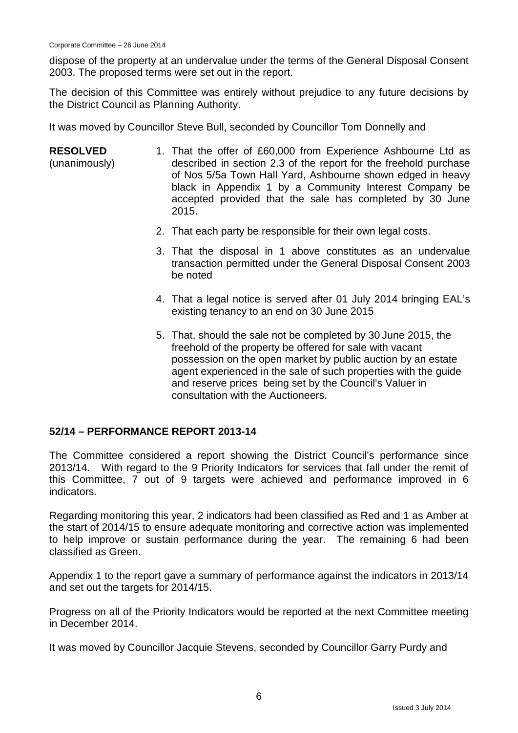dispose of the property at an undervalue under the terms of the General Disposal Consent 2003. The proposed terms were set out in the report.

The decision of this Committee was entirely without prejudice to any future decisions by the District Council as Planning Authority.

It was moved by Councillor Steve Bull, seconded by Councillor Tom Donnelly and

- **RESOLVED** (unanimously) 1. That the offer of £60,000 from Experience Ashbourne Ltd as described in section 2.3 of the report for the freehold purchase of Nos 5/5a Town Hall Yard, Ashbourne shown edged in heavy black in Appendix 1 by a Community Interest Company be accepted provided that the sale has completed by 30 June 2015.
	- 2. That each party be responsible for their own legal costs.
	- 3. That the disposal in 1 above constitutes as an undervalue transaction permitted under the General Disposal Consent 2003 be noted
	- 4. That a legal notice is served after 01 July 2014 bringing EAL's existing tenancy to an end on 30 June 2015
	- 5. That, should the sale not be completed by 30 June 2015, the freehold of the property be offered for sale with vacant possession on the open market by public auction by an estate agent experienced in the sale of such properties with the guide and reserve prices being set by the Council's Valuer in consultation with the Auctioneers.

### **52/14 – PERFORMANCE REPORT 2013-14**

The Committee considered a report showing the District Council's performance since 2013/14. With regard to the 9 Priority Indicators for services that fall under the remit of this Committee, 7 out of 9 targets were achieved and performance improved in 6 indicators.

Regarding monitoring this year, 2 indicators had been classified as Red and 1 as Amber at the start of 2014/15 to ensure adequate monitoring and corrective action was implemented to help improve or sustain performance during the year. The remaining 6 had been classified as Green.

Appendix 1 to the report gave a summary of performance against the indicators in 2013/14 and set out the targets for 2014/15.

Progress on all of the Priority Indicators would be reported at the next Committee meeting in December 2014.

It was moved by Councillor Jacquie Stevens, seconded by Councillor Garry Purdy and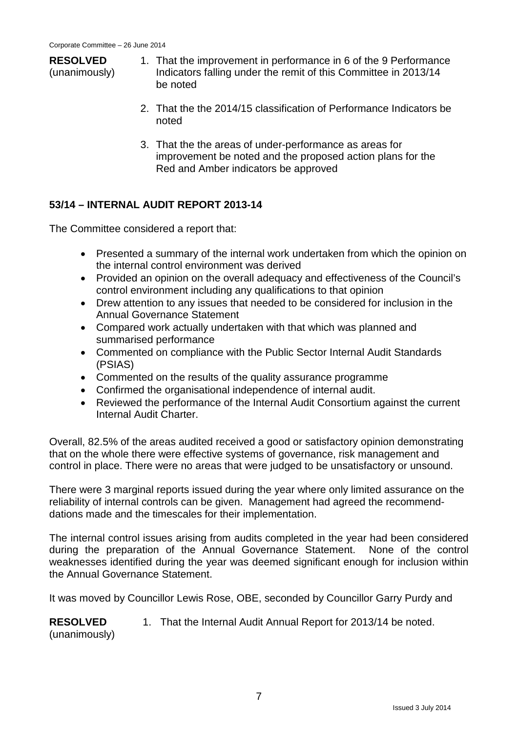# **RESOLVED**

(unanimously)

- 1. That the improvement in performance in 6 of the 9 Performance Indicators falling under the remit of this Committee in 2013/14 be noted
- 2. That the the 2014/15 classification of Performance Indicators be noted
- 3. That the the areas of under-performance as areas for improvement be noted and the proposed action plans for the Red and Amber indicators be approved

# **53/14 – INTERNAL AUDIT REPORT 2013-14**

The Committee considered a report that:

- Presented a summary of the internal work undertaken from which the opinion on the internal control environment was derived
- Provided an opinion on the overall adequacy and effectiveness of the Council's control environment including any qualifications to that opinion
- Drew attention to any issues that needed to be considered for inclusion in the Annual Governance Statement
- Compared work actually undertaken with that which was planned and summarised performance
- Commented on compliance with the Public Sector Internal Audit Standards (PSIAS)
- Commented on the results of the quality assurance programme
- Confirmed the organisational independence of internal audit.
- Reviewed the performance of the Internal Audit Consortium against the current Internal Audit Charter.

Overall, 82.5% of the areas audited received a good or satisfactory opinion demonstrating that on the whole there were effective systems of governance, risk management and control in place. There were no areas that were judged to be unsatisfactory or unsound.

There were 3 marginal reports issued during the year where only limited assurance on the reliability of internal controls can be given. Management had agreed the recommenddations made and the timescales for their implementation.

The internal control issues arising from audits completed in the year had been considered during the preparation of the Annual Governance Statement. None of the control weaknesses identified during the year was deemed significant enough for inclusion within the Annual Governance Statement.

It was moved by Councillor Lewis Rose, OBE, seconded by Councillor Garry Purdy and

**RESOLVED** (unanimously) 1. That the Internal Audit Annual Report for 2013/14 be noted.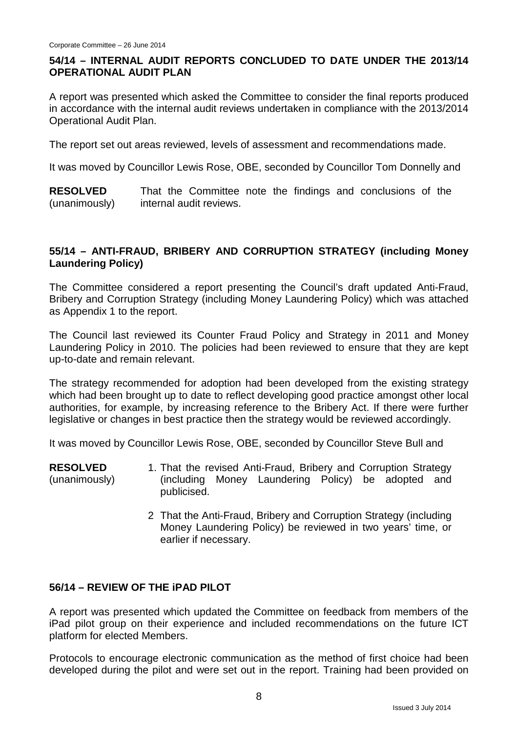# **54/14 – INTERNAL AUDIT REPORTS CONCLUDED TO DATE UNDER THE 2013/14 OPERATIONAL AUDIT PLAN**

A report was presented which asked the Committee to consider the final reports produced in accordance with the internal audit reviews undertaken in compliance with the 2013/2014 Operational Audit Plan.

The report set out areas reviewed, levels of assessment and recommendations made.

It was moved by Councillor Lewis Rose, OBE, seconded by Councillor Tom Donnelly and

**RESOLVED** (unanimously) That the Committee note the findings and conclusions of the internal audit reviews.

# **55/14 – ANTI-FRAUD, BRIBERY AND CORRUPTION STRATEGY (including Money Laundering Policy)**

The Committee considered a report presenting the Council's draft updated Anti-Fraud, Bribery and Corruption Strategy (including Money Laundering Policy) which was attached as Appendix 1 to the report.

The Council last reviewed its Counter Fraud Policy and Strategy in 2011 and Money Laundering Policy in 2010. The policies had been reviewed to ensure that they are kept up-to-date and remain relevant.

The strategy recommended for adoption had been developed from the existing strategy which had been brought up to date to reflect developing good practice amongst other local authorities, for example, by increasing reference to the Bribery Act. If there were further legislative or changes in best practice then the strategy would be reviewed accordingly.

It was moved by Councillor Lewis Rose, OBE, seconded by Councillor Steve Bull and

- **RESOLVED** (unanimously) 1. That the revised Anti-Fraud, Bribery and Corruption Strategy (including Money Laundering Policy) be adopted and publicised.
	- 2 That the Anti-Fraud, Bribery and Corruption Strategy (including Money Laundering Policy) be reviewed in two years' time, or earlier if necessary.

### **56/14 – REVIEW OF THE iPAD PILOT**

A report was presented which updated the Committee on feedback from members of the iPad pilot group on their experience and included recommendations on the future ICT platform for elected Members.

Protocols to encourage electronic communication as the method of first choice had been developed during the pilot and were set out in the report. Training had been provided on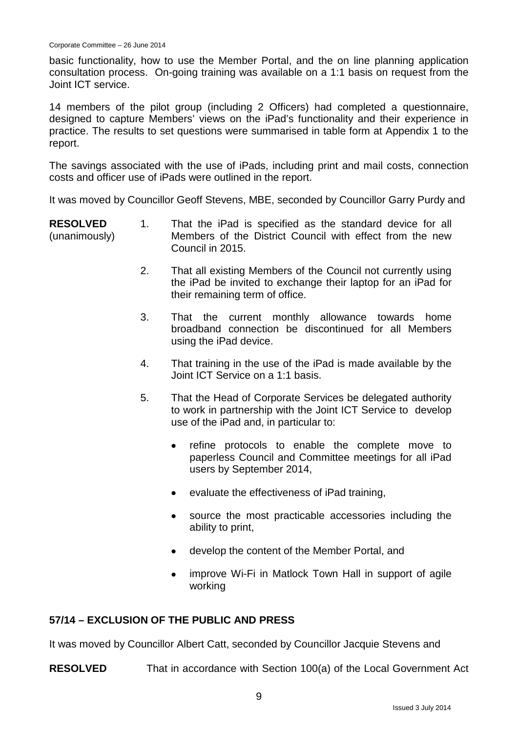basic functionality, how to use the Member Portal, and the on line planning application consultation process. On-going training was available on a 1:1 basis on request from the Joint ICT service.

14 members of the pilot group (including 2 Officers) had completed a questionnaire, designed to capture Members' views on the iPad's functionality and their experience in practice. The results to set questions were summarised in table form at Appendix 1 to the report.

The savings associated with the use of iPads, including print and mail costs, connection costs and officer use of iPads were outlined in the report.

It was moved by Councillor Geoff Stevens, MBE, seconded by Councillor Garry Purdy and

- **RESOLVED** (unanimously) 1. That the iPad is specified as the standard device for all Members of the District Council with effect from the new Council in 2015.
	- 2. That all existing Members of the Council not currently using the iPad be invited to exchange their laptop for an iPad for their remaining term of office.
	- 3. That the current monthly allowance towards home broadband connection be discontinued for all Members using the iPad device.
	- 4. That training in the use of the iPad is made available by the Joint ICT Service on a 1:1 basis.
	- 5. That the Head of Corporate Services be delegated authority to work in partnership with the Joint ICT Service to develop use of the iPad and, in particular to:
		- refine protocols to enable the complete move to paperless Council and Committee meetings for all iPad users by September 2014,
		- evaluate the effectiveness of iPad training,
		- source the most practicable accessories including the ability to print,
		- develop the content of the Member Portal, and
		- improve Wi-Fi in Matlock Town Hall in support of agile working

### **57/14 – EXCLUSION OF THE PUBLIC AND PRESS**

It was moved by Councillor Albert Catt, seconded by Councillor Jacquie Stevens and

**RESOLVED** That in accordance with Section 100(a) of the Local Government Act